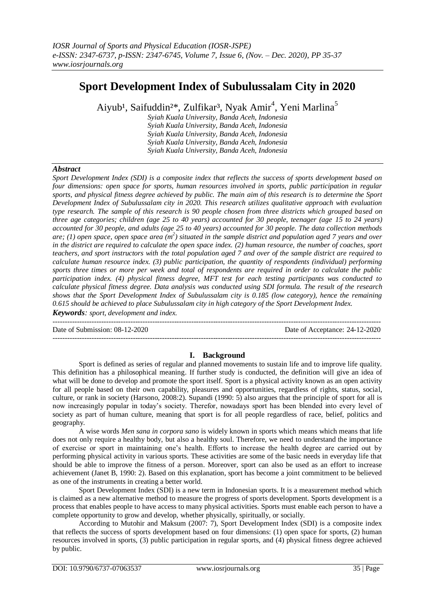# **Sport Development Index of Subulussalam City in 2020**

Aiyub<sup>1</sup>, Saifuddin<sup>2\*</sup>, Zulfikar<sup>3</sup>, Nyak Amir<sup>4</sup>, Yeni Marlina<sup>5</sup>

*Syiah Kuala University, Banda Aceh, Indonesia Syiah Kuala University, Banda Aceh, Indonesia Syiah Kuala University, Banda Aceh, Indonesia Syiah Kuala University, Banda Aceh, Indonesia Syiah Kuala University, Banda Aceh, Indonesia*

## *Abstract*

*Sport Development Index (SDI) is a composite index that reflects the success of sports development based on four dimensions: open space for sports, human resources involved in sports, public participation in regular sports, and physical fitness degree achieved by public. The main aim of this research is to determine the Sport Development Index of Subulussalam city in 2020. This research utilizes qualitative approach with evaluation type research. The sample of this research is 90 people chosen from three districts which grouped based on three age categories; children (age 25 to 40 years) accounted for 30 people, teenager (age 15 to 24 years) accounted for 30 people, and adults (age 25 to 40 years) accounted for 30 people. The data collection methods*  are; (1) open space, open space area (m<sup>2</sup>) situated in the sample district and population aged 7 years and over *in the district are required to calculate the open space index. (2) human resource, the number of coaches, sport teachers, and sport instructors with the total population aged 7 and over of the sample district are required to calculate human resource index. (3) public participation, the quantity of respondents (individual) performing sports three times or more per week and total of respondents are required in order to calculate the public participation index. (4) physical fitness degree, MFT test for each testing participants was conducted to calculate physical fitness degree. Data analysis was conducted using SDI formula. The result of the research shows that the Sport Development Index of Subulussalam city is 0.185 (low category), hence the remaining 0.615 should be achieved to place Subulussalam city in high category of the Sport Development Index. Keywords: sport, development and index.* 

--------------------------------------------------------------------------------------------------------------------------------------- Date of Submission: 08-12-2020 Date of Acceptance: 24-12-2020 ---------------------------------------------------------------------------------------------------------------------------------------

### **I. Background**

Sport is defined as series of regular and planned movements to sustain life and to improve life quality. This definition has a philosophical meaning. If further study is conducted, the definition will give an idea of what will be done to develop and promote the sport itself. Sport is a physical activity known as an open activity for all people based on their own capability, pleasures and opportunities, regardless of rights, status, social, culture, or rank in society (Harsono, 2008:2). Supandi (1990: 5) also argues that the principle of sport for all is now increasingly popular in today's society. Therefor, nowadays sport has been blended into every level of society as part of human culture, meaning that sport is for all people regardless of race, belief, politics and geography.

A wise words *Men sana in corpora sano* is widely known in sports which means which means that life does not only require a healthy body, but also a healthy soul. Therefore, we need to understand the importance of exercise or sport in maintaining one's health. Efforts to increase the health degree are carried out by performing physical activity in various sports. These activities are some of the basic needs in everyday life that should be able to improve the fitness of a person. Moreover, sport can also be used as an effort to increase achievement (Janet B, 1990: 2). Based on this explanation, sport has become a joint commitment to be believed as one of the instruments in creating a better world.

Sport Development Index (SDI) is a new term in Indonesian sports. It is a measurement method which is claimed as a new alternative method to measure the progress of sports development. Sports development is a process that enables people to have access to many physical activities. Sports must enable each person to have a complete opportunity to grow and develop, whether physically, spiritually, or socially.

According to Mutohir and Maksum (2007: 7), Sport Development Index (SDI) is a composite index that reflects the success of sports development based on four dimensions: (1) open space for sports, (2) human resources involved in sports, (3) public participation in regular sports, and (4) physical fitness degree achieved by public.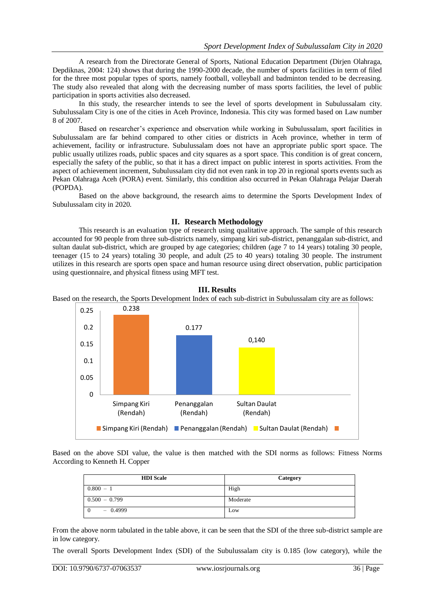A research from the Directorate General of Sports, National Education Department (Dirjen Olahraga, Depdiknas, 2004: 124) shows that during the 1990-2000 decade, the number of sports facilities in term of filed for the three most popular types of sports, namely football, volleyball and badminton tended to be decreasing. The study also revealed that along with the decreasing number of mass sports facilities, the level of public participation in sports activities also decreased.

In this study, the researcher intends to see the level of sports development in Subulussalam city. Subulussalam City is one of the cities in Aceh Province, Indonesia. This city was formed based on Law number 8 of 2007.

Based on researcher's experience and observation while working in Subulussalam, sport facilities in Subulussalam are far behind compared to other cities or districts in Aceh province, whether in term of achievement, facility or infrastructure. Subulussalam does not have an appropriate public sport space. The public usually utilizes roads, public spaces and city squares as a sport space. This condition is of great concern, especially the safety of the public, so that it has a direct impact on public interest in sports activities. From the aspect of achievement increment, Subulussalam city did not even rank in top 20 in regional sports events such as Pekan Olahraga Aceh (PORA) event. Similarly, this condition also occurred in Pekan Olahraga Pelajar Daerah (POPDA).

Based on the above background, the research aims to determine the Sports Development Index of Subulussalam city in 2020.

## **II. Research Methodology**

This research is an evaluation type of research using qualitative approach. The sample of this research accounted for 90 people from three sub-districts namely, simpang kiri sub-district, penanggalan sub-district, and sultan daulat sub-district, which are grouped by age categories; children (age 7 to 14 years) totaling 30 people, teenager (15 to 24 years) totaling 30 people, and adult (25 to 40 years) totaling 30 people. The instrument utilizes in this research are sports open space and human resource using direct observation, public participation using questionnaire, and physical fitness using MFT test.



### **III. Results**

Based on the research, the Sports Development Index of each sub-district in Subulussalam city are as follows:

Based on the above SDI value, the value is then matched with the SDI norms as follows: Fitness Norms According to Kenneth H. Copper

| <b>HDI</b> Scale | Category |
|------------------|----------|
| $0.800 - 1$      | High     |
| $0.500 - 0.799$  | Moderate |
| $-0.4999$        | Low      |

From the above norm tabulated in the table above, it can be seen that the SDI of the three sub-district sample are in low category.

The overall Sports Development Index (SDI) of the Subulussalam city is 0.185 (low category), while the